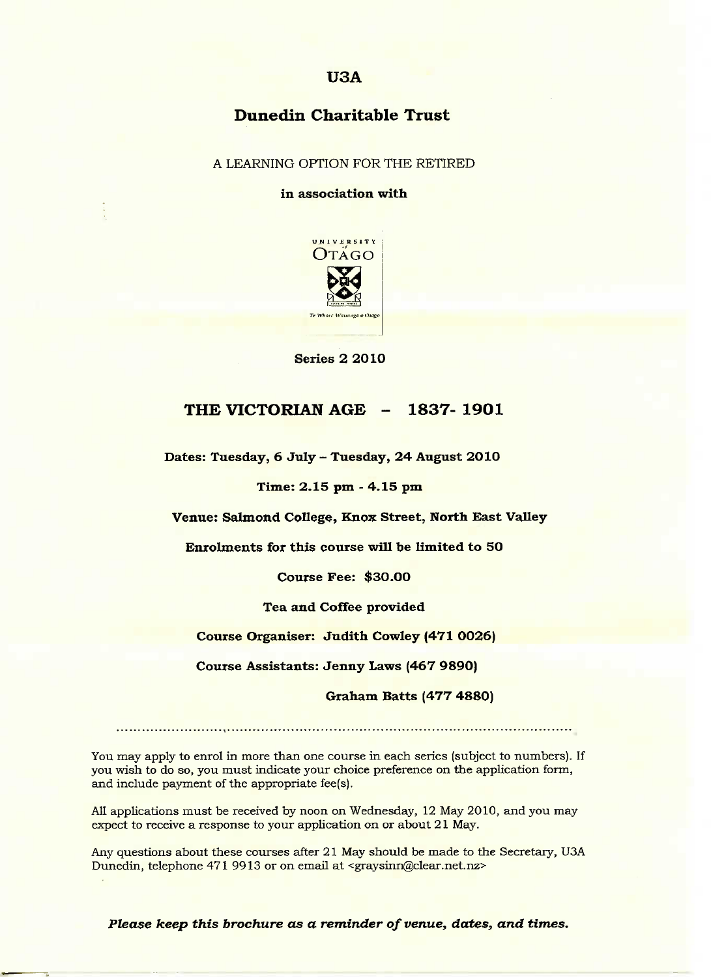## **USA**

# **Dunedin Charitable Trust**

A LEARNING OPTION FOR THE RETIRED

**in association with**



**Series 2 2010**

## **THE VICTORIAN AGE - 1837-1901**

**Dates: Tuesday, 6 July - Tuesday, 24 August 2010**

**Time: 2.15 pm - 4.15 pm**

**Venue: Salmond College, Knox Street, North East Valley**

**Enrolments for this course will be limited to 50**

**Course Fee: \$30.00**

**Tea and Coffee provided**

**Course Organiser: Judith Cowley (471 0026)**

**Course Assistants: Jenny Laws (467 9890)**

**Graham Batts (477 4880)**

You may apply to enrol in more than one course in each series (subject to numbers). If you wish to do so, you must indicate your choice preference on the application form, and include payment of the appropriate fee(s).

All applications must be received by noon on Wednesday, 12 May 2010, and you may expect to receive a response to your application on or about 21 May.

Any questions about these courses after 21 May should be made to the Secretary, USA Dunedin, telephone 471 9913 or on email at <graysinn@clear.net.nz>

*Please keep this brochure as a reminder of venue, dates, and times.*